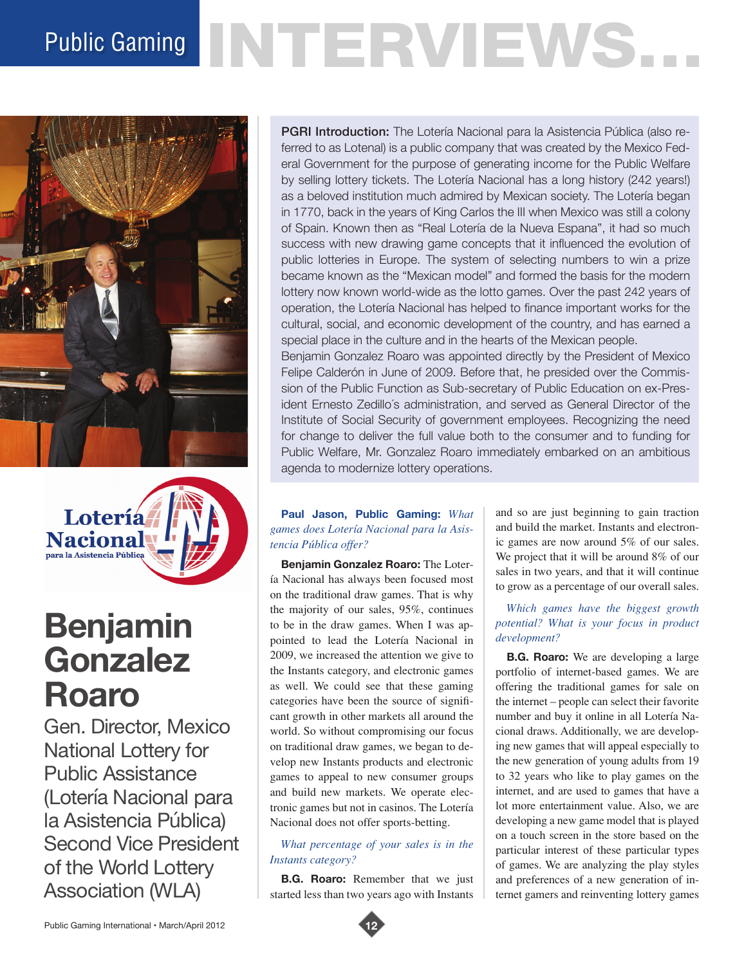# Public Gaming NTERVIEWS.





# **Benjamin Gonzalez Roaro**

Gen. Director, Mexico National Lottery for Public Assistance (Lotería Nacional para la Asistencia Pública) Second Vice President of the World Lottery Association (WLA)

PGRI Introduction: The Lotería Nacional para la Asistencia Pública (also referred to as Lotenal) is a public company that was created by the Mexico Federal Government for the purpose of generating income for the Public Welfare by selling lottery tickets. The Lotería Nacional has a long history (242 years!) as a beloved institution much admired by Mexican society. The Lotería began in 1770, back in the years of King Carlos the III when Mexico was still a colony of Spain. Known then as "Real Lotería de la Nueva Espana", it had so much success with new drawing game concepts that it influenced the evolution of public lotteries in Europe. The system of selecting numbers to win a prize became known as the "Mexican model" and formed the basis for the modern lottery now known world-wide as the lotto games. Over the past 242 years of operation, the Lotería Nacional has helped to finance important works for the cultural, social, and economic development of the country, and has earned a special place in the culture and in the hearts of the Mexican people.

Benjamin Gonzalez Roaro was appointed directly by the President of Mexico Felipe Calderón in June of 2009. Before that, he presided over the Commission of the Public Function as Sub-secretary of Public Education on ex-President Ernesto Zedillo´s administration, and served as General Director of the Institute of Social Security of government employees. Recognizing the need for change to deliver the full value both to the consumer and to funding for Public Welfare, Mr. Gonzalez Roaro immediately embarked on an ambitious agenda to modernize lottery operations.

# **Paul Jason, Public Gaming:** *What games does Lotería Nacional para la Asistencia Pública offer?*

**Benjamin Gonzalez Roaro:** The Lotería Nacional has always been focused most on the traditional draw games. That is why the majority of our sales, 95%, continues to be in the draw games. When I was appointed to lead the Lotería Nacional in 2009, we increased the attention we give to the Instants category, and electronic games as well. We could see that these gaming categories have been the source of significant growth in other markets all around the world. So without compromising our focus on traditional draw games, we began to develop new Instants products and electronic games to appeal to new consumer groups and build new markets. We operate electronic games but not in casinos. The Lotería Nacional does not offer sports-betting.

# *What percentage of your sales is in the Instants category?*

**B.G. Roaro:** Remember that we just started less than two years ago with Instants

and so are just beginning to gain traction and build the market. Instants and electronic games are now around 5% of our sales. We project that it will be around 8% of our sales in two years, and that it will continue to grow as a percentage of our overall sales.

# *Which games have the biggest growth potential? What is your focus in product development?*

**B.G. Roaro:** We are developing a large portfolio of internet-based games. We are offering the traditional games for sale on the internet – people can select their favorite number and buy it online in all Lotería Nacional draws. Additionally, we are developing new games that will appeal especially to the new generation of young adults from 19 to 32 years who like to play games on the internet, and are used to games that have a lot more entertainment value. Also, we are developing a new game model that is played on a touch screen in the store based on the particular interest of these particular types of games. We are analyzing the play styles and preferences of a new generation of internet gamers and reinventing lottery games

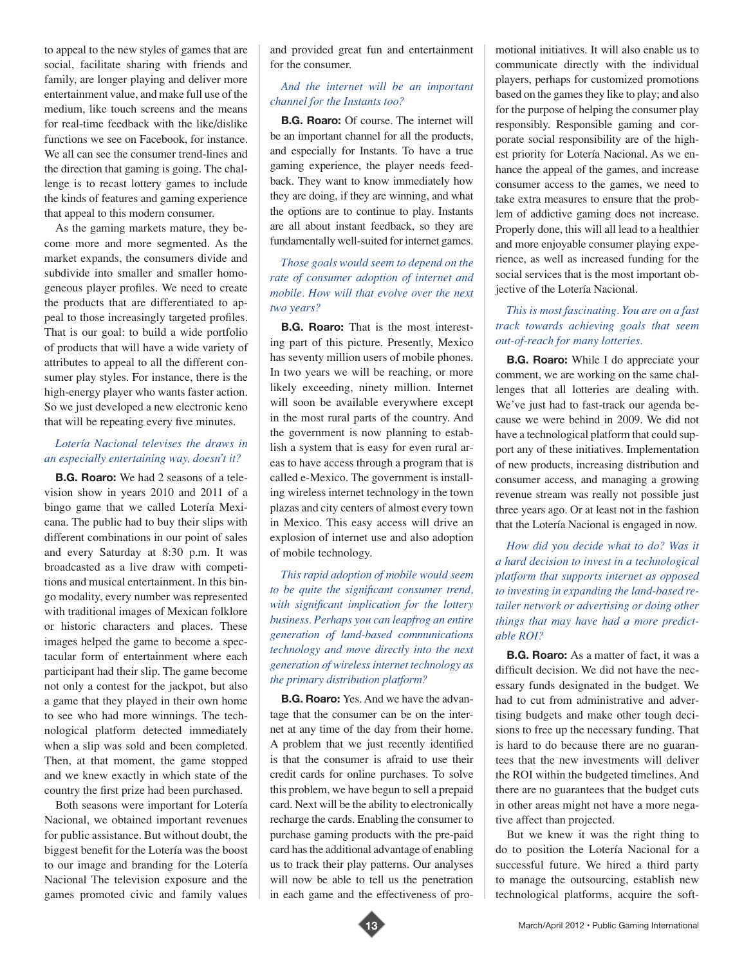to appeal to the new styles of games that are social, facilitate sharing with friends and family, are longer playing and deliver more entertainment value, and make full use of the medium, like touch screens and the means for real-time feedback with the like/dislike functions we see on Facebook, for instance. We all can see the consumer trend-lines and the direction that gaming is going. The challenge is to recast lottery games to include the kinds of features and gaming experience that appeal to this modern consumer.

As the gaming markets mature, they become more and more segmented. As the market expands, the consumers divide and subdivide into smaller and smaller homogeneous player profiles. We need to create the products that are differentiated to appeal to those increasingly targeted profiles. That is our goal: to build a wide portfolio of products that will have a wide variety of attributes to appeal to all the different consumer play styles. For instance, there is the high-energy player who wants faster action. So we just developed a new electronic keno that will be repeating every five minutes.

#### *Lotería Nacional televises the draws in an especially entertaining way, doesn't it?*

**B.G. Roaro:** We had 2 seasons of a television show in years 2010 and 2011 of a bingo game that we called Lotería Mexicana. The public had to buy their slips with different combinations in our point of sales and every Saturday at 8:30 p.m. It was broadcasted as a live draw with competitions and musical entertainment. In this bingo modality, every number was represented with traditional images of Mexican folklore or historic characters and places. These images helped the game to become a spectacular form of entertainment where each participant had their slip. The game become not only a contest for the jackpot, but also a game that they played in their own home to see who had more winnings. The technological platform detected immediately when a slip was sold and been completed. Then, at that moment, the game stopped and we knew exactly in which state of the country the first prize had been purchased.

Both seasons were important for Lotería Nacional, we obtained important revenues for public assistance. But without doubt, the biggest benefit for the Lotería was the boost to our image and branding for the Lotería Nacional The television exposure and the games promoted civic and family values

and provided great fun and entertainment for the consumer.

# *And the internet will be an important channel for the Instants too?*

**B.G. Roaro:** Of course. The internet will be an important channel for all the products, and especially for Instants. To have a true gaming experience, the player needs feedback. They want to know immediately how they are doing, if they are winning, and what the options are to continue to play. Instants are all about instant feedback, so they are fundamentally well-suited for internet games.

*Those goals would seem to depend on the rate of consumer adoption of internet and mobile. How will that evolve over the next two years?* 

**B.G. Roaro:** That is the most interesting part of this picture. Presently, Mexico has seventy million users of mobile phones. In two years we will be reaching, or more likely exceeding, ninety million. Internet will soon be available everywhere except in the most rural parts of the country. And the government is now planning to establish a system that is easy for even rural areas to have access through a program that is called e-Mexico. The government is installing wireless internet technology in the town plazas and city centers of almost every town in Mexico. This easy access will drive an explosion of internet use and also adoption of mobile technology.

*This rapid adoption of mobile would seem to be quite the significant consumer trend, with significant implication for the lottery business. Perhaps you can leapfrog an entire generation of land-based communications technology and move directly into the next generation of wireless internet technology as the primary distribution platform?* 

**B.G. Roaro:** Yes. And we have the advantage that the consumer can be on the internet at any time of the day from their home. A problem that we just recently identified is that the consumer is afraid to use their credit cards for online purchases. To solve this problem, we have begun to sell a prepaid card. Next will be the ability to electronically recharge the cards. Enabling the consumer to purchase gaming products with the pre-paid card has the additional advantage of enabling us to track their play patterns. Our analyses will now be able to tell us the penetration in each game and the effectiveness of promotional initiatives. It will also enable us to communicate directly with the individual players, perhaps for customized promotions based on the games they like to play; and also for the purpose of helping the consumer play responsibly. Responsible gaming and corporate social responsibility are of the highest priority for Lotería Nacional. As we enhance the appeal of the games, and increase consumer access to the games, we need to take extra measures to ensure that the problem of addictive gaming does not increase. Properly done, this will all lead to a healthier and more enjoyable consumer playing experience, as well as increased funding for the social services that is the most important objective of the Lotería Nacional.

# *This is most fascinating. You are on a fast track towards achieving goals that seem out-of-reach for many lotteries.*

**B.G. Roaro:** While I do appreciate your comment, we are working on the same challenges that all lotteries are dealing with. We've just had to fast-track our agenda because we were behind in 2009. We did not have a technological platform that could support any of these initiatives. Implementation of new products, increasing distribution and consumer access, and managing a growing revenue stream was really not possible just three years ago. Or at least not in the fashion that the Lotería Nacional is engaged in now.

*How did you decide what to do? Was it a hard decision to invest in a technological platform that supports internet as opposed to investing in expanding the land-based retailer network or advertising or doing other things that may have had a more predictable ROI?* 

**B.G. Roaro:** As a matter of fact, it was a difficult decision. We did not have the necessary funds designated in the budget. We had to cut from administrative and advertising budgets and make other tough decisions to free up the necessary funding. That is hard to do because there are no guarantees that the new investments will deliver the ROI within the budgeted timelines. And there are no guarantees that the budget cuts in other areas might not have a more negative affect than projected.

But we knew it was the right thing to do to position the Lotería Nacional for a successful future. We hired a third party to manage the outsourcing, establish new technological platforms, acquire the soft-

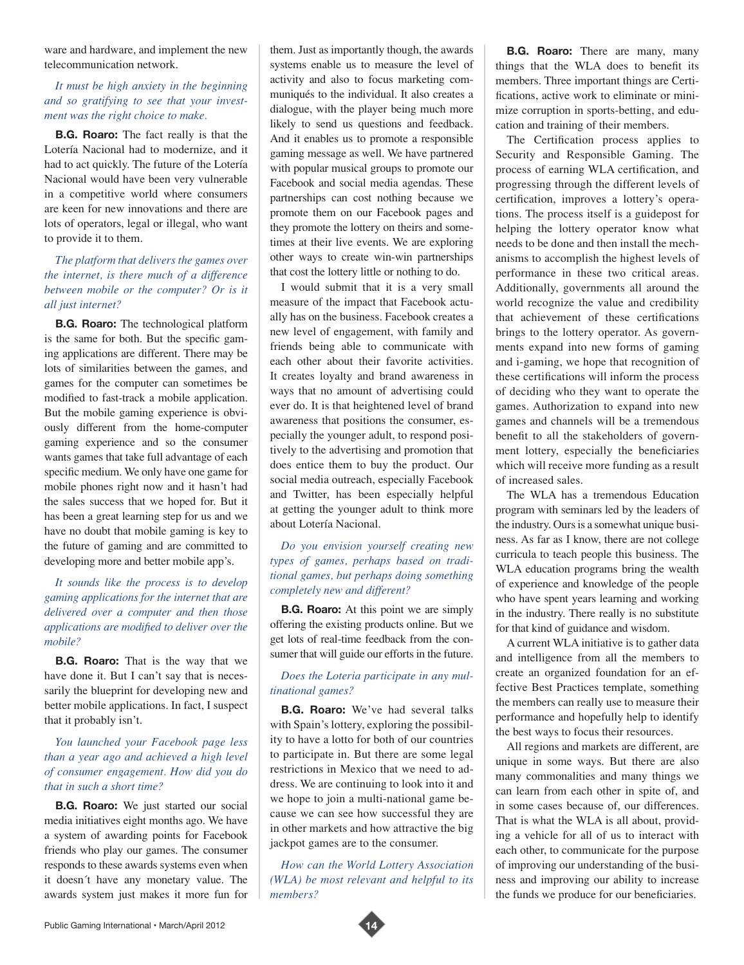ware and hardware, and implement the new telecommunication network.

#### *It must be high anxiety in the beginning and so gratifying to see that your investment was the right choice to make.*

**B.G. Roaro:** The fact really is that the Lotería Nacional had to modernize, and it had to act quickly. The future of the Lotería Nacional would have been very vulnerable in a competitive world where consumers are keen for new innovations and there are lots of operators, legal or illegal, who want to provide it to them.

# *The platform that delivers the games over the internet, is there much of a difference between mobile or the computer? Or is it all just internet?*

**B.G. Roaro:** The technological platform is the same for both. But the specific gaming applications are different. There may be lots of similarities between the games, and games for the computer can sometimes be modified to fast-track a mobile application. But the mobile gaming experience is obviously different from the home-computer gaming experience and so the consumer wants games that take full advantage of each specific medium. We only have one game for mobile phones right now and it hasn't had the sales success that we hoped for. But it has been a great learning step for us and we have no doubt that mobile gaming is key to the future of gaming and are committed to developing more and better mobile app's.

# *It sounds like the process is to develop gaming applications for the internet that are delivered over a computer and then those applications are modified to deliver over the mobile?*

**B.G. Roaro:** That is the way that we have done it. But I can't say that is necessarily the blueprint for developing new and better mobile applications. In fact, I suspect that it probably isn't.

# *You launched your Facebook page less than a year ago and achieved a high level of consumer engagement. How did you do that in such a short time?*

**B.G. Roaro:** We just started our social media initiatives eight months ago. We have a system of awarding points for Facebook friends who play our games. The consumer responds to these awards systems even when it doesn´t have any monetary value. The awards system just makes it more fun for them. Just as importantly though, the awards systems enable us to measure the level of activity and also to focus marketing communiqués to the individual. It also creates a dialogue, with the player being much more likely to send us questions and feedback. And it enables us to promote a responsible gaming message as well. We have partnered with popular musical groups to promote our Facebook and social media agendas. These partnerships can cost nothing because we promote them on our Facebook pages and they promote the lottery on theirs and sometimes at their live events. We are exploring other ways to create win-win partnerships that cost the lottery little or nothing to do.

I would submit that it is a very small measure of the impact that Facebook actually has on the business. Facebook creates a new level of engagement, with family and friends being able to communicate with each other about their favorite activities. It creates loyalty and brand awareness in ways that no amount of advertising could ever do. It is that heightened level of brand awareness that positions the consumer, especially the younger adult, to respond positively to the advertising and promotion that does entice them to buy the product. Our social media outreach, especially Facebook and Twitter, has been especially helpful at getting the younger adult to think more about Lotería Nacional.

## *Do you envision yourself creating new types of games, perhaps based on traditional games, but perhaps doing something completely new and different?*

**B.G. Roaro:** At this point we are simply offering the existing products online. But we get lots of real-time feedback from the consumer that will guide our efforts in the future.

#### *Does the Loteria participate in any multinational games?*

**B.G. Roaro:** We've had several talks with Spain's lottery, exploring the possibility to have a lotto for both of our countries to participate in. But there are some legal restrictions in Mexico that we need to address. We are continuing to look into it and we hope to join a multi-national game because we can see how successful they are in other markets and how attractive the big jackpot games are to the consumer.

*How can the World Lottery Association (WLA) be most relevant and helpful to its members?* 

**B.G. Roaro:** There are many, many things that the WLA does to benefit its members. Three important things are Certifications, active work to eliminate or minimize corruption in sports-betting, and education and training of their members.

The Certification process applies to Security and Responsible Gaming. The process of earning WLA certification, and progressing through the different levels of certification, improves a lottery's operations. The process itself is a guidepost for helping the lottery operator know what needs to be done and then install the mechanisms to accomplish the highest levels of performance in these two critical areas. Additionally, governments all around the world recognize the value and credibility that achievement of these certifications brings to the lottery operator. As governments expand into new forms of gaming and i-gaming, we hope that recognition of these certifications will inform the process of deciding who they want to operate the games. Authorization to expand into new games and channels will be a tremendous benefit to all the stakeholders of government lottery, especially the beneficiaries which will receive more funding as a result of increased sales.

The WLA has a tremendous Education program with seminars led by the leaders of the industry. Ours is a somewhat unique business. As far as I know, there are not college curricula to teach people this business. The WLA education programs bring the wealth of experience and knowledge of the people who have spent years learning and working in the industry. There really is no substitute for that kind of guidance and wisdom.

A current WLA initiative is to gather data and intelligence from all the members to create an organized foundation for an effective Best Practices template, something the members can really use to measure their performance and hopefully help to identify the best ways to focus their resources.

All regions and markets are different, are unique in some ways. But there are also many commonalities and many things we can learn from each other in spite of, and in some cases because of, our differences. That is what the WLA is all about, providing a vehicle for all of us to interact with each other, to communicate for the purpose of improving our understanding of the business and improving our ability to increase the funds we produce for our beneficiaries.